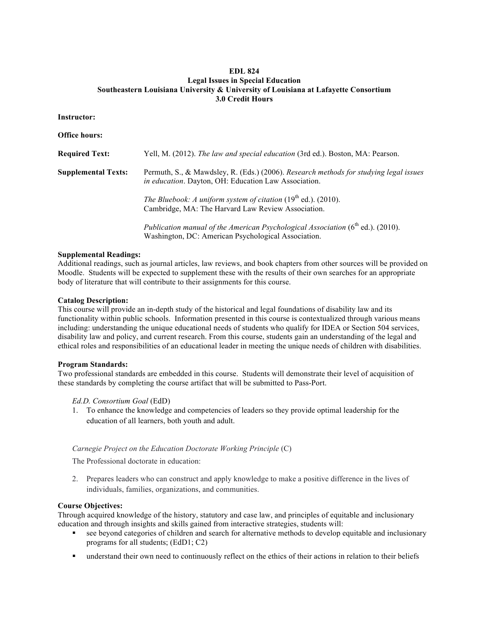# **EDL 824 Legal Issues in Special Education Southeastern Louisiana University & University of Louisiana at Lafayette Consortium 3.0 Credit Hours**

## **Instructor:**

**Office hours:**

| <b>Required Text:</b>      | Yell, M. (2012). The law and special education (3rd ed.). Boston, MA: Pearson.                                                                |
|----------------------------|-----------------------------------------------------------------------------------------------------------------------------------------------|
| <b>Supplemental Texts:</b> | Permuth, S., & Mawdsley, R. (Eds.) (2006). Research methods for studying legal issues<br>in education. Dayton, OH: Education Law Association. |
|                            | The Bluebook: A uniform system of citation $(19th$ ed.). (2010).<br>Cambridge, MA: The Harvard Law Review Association.                        |
|                            | Publication manual of the American Psychological Association $(6th$ ed.). (2010).<br>Washington, DC: American Psychological Association.      |

## **Supplemental Readings:**

Additional readings, such as journal articles, law reviews, and book chapters from other sources will be provided on Moodle. Students will be expected to supplement these with the results of their own searches for an appropriate body of literature that will contribute to their assignments for this course.

## **Catalog Description:**

This course will provide an in-depth study of the historical and legal foundations of disability law and its functionality within public schools. Information presented in this course is contextualized through various means including: understanding the unique educational needs of students who qualify for IDEA or Section 504 services, disability law and policy, and current research. From this course, students gain an understanding of the legal and ethical roles and responsibilities of an educational leader in meeting the unique needs of children with disabilities.

#### **Program Standards:**

Two professional standards are embedded in this course. Students will demonstrate their level of acquisition of these standards by completing the course artifact that will be submitted to Pass-Port.

## *Ed.D. Consortium Goal* (EdD)

1. To enhance the knowledge and competencies of leaders so they provide optimal leadership for the education of all learners, both youth and adult.

## *Carnegie Project on the Education Doctorate Working Principle* (C)

The Professional doctorate in education:

2. Prepares leaders who can construct and apply knowledge to make a positive difference in the lives of individuals, families, organizations, and communities.

#### **Course Objectives:**

Through acquired knowledge of the history, statutory and case law, and principles of equitable and inclusionary education and through insights and skills gained from interactive strategies, students will:

- see beyond categories of children and search for alternative methods to develop equitable and inclusionary programs for all students; (EdD1; C2)
- understand their own need to continuously reflect on the ethics of their actions in relation to their beliefs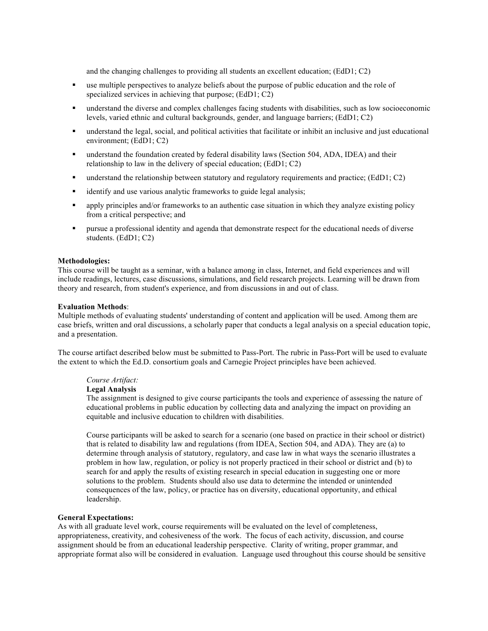and the changing challenges to providing all students an excellent education; (EdD1; C2)

- § use multiple perspectives to analyze beliefs about the purpose of public education and the role of specialized services in achieving that purpose; (EdD1; C2)
- understand the diverse and complex challenges facing students with disabilities, such as low socioeconomic levels, varied ethnic and cultural backgrounds, gender, and language barriers; (EdD1; C2)
- understand the legal, social, and political activities that facilitate or inhibit an inclusive and just educational environment; (EdD1; C2)
- § understand the foundation created by federal disability laws (Section 504, ADA, IDEA) and their relationship to law in the delivery of special education; (EdD1; C2)
- understand the relationship between statutory and regulatory requirements and practice; (EdD1; C2)
- identify and use various analytic frameworks to guide legal analysis;
- § apply principles and/or frameworks to an authentic case situation in which they analyze existing policy from a critical perspective; and
- pursue a professional identity and agenda that demonstrate respect for the educational needs of diverse students. (EdD1; C2)

#### **Methodologies:**

This course will be taught as a seminar, with a balance among in class, Internet, and field experiences and will include readings, lectures, case discussions, simulations, and field research projects. Learning will be drawn from theory and research, from student's experience, and from discussions in and out of class.

#### **Evaluation Methods**:

Multiple methods of evaluating students' understanding of content and application will be used. Among them are case briefs, written and oral discussions, a scholarly paper that conducts a legal analysis on a special education topic, and a presentation.

The course artifact described below must be submitted to Pass-Port. The rubric in Pass-Port will be used to evaluate the extent to which the Ed.D. consortium goals and Carnegie Project principles have been achieved.

#### *Course Artifact:*

## **Legal Analysis**

The assignment is designed to give course participants the tools and experience of assessing the nature of educational problems in public education by collecting data and analyzing the impact on providing an equitable and inclusive education to children with disabilities.

Course participants will be asked to search for a scenario (one based on practice in their school or district) that is related to disability law and regulations (from IDEA, Section 504, and ADA). They are (a) to determine through analysis of statutory, regulatory, and case law in what ways the scenario illustrates a problem in how law, regulation, or policy is not properly practiced in their school or district and (b) to search for and apply the results of existing research in special education in suggesting one or more solutions to the problem. Students should also use data to determine the intended or unintended consequences of the law, policy, or practice has on diversity, educational opportunity, and ethical leadership.

## **General Expectations:**

As with all graduate level work, course requirements will be evaluated on the level of completeness, appropriateness, creativity, and cohesiveness of the work. The focus of each activity, discussion, and course assignment should be from an educational leadership perspective. Clarity of writing, proper grammar, and appropriate format also will be considered in evaluation. Language used throughout this course should be sensitive